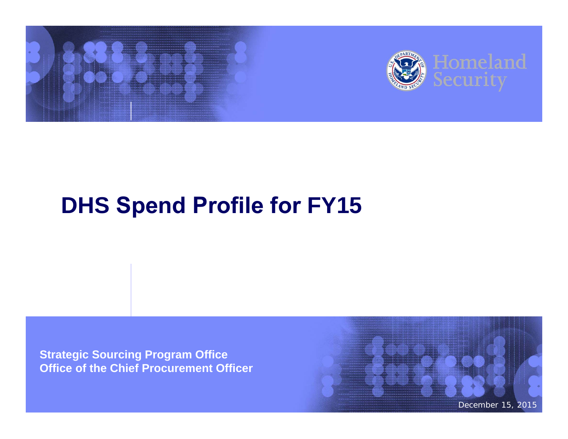

# **DHS Spend Profile for FY15**

**Strategic Sourcing Program Office Office of the Chief Procurement Officer**

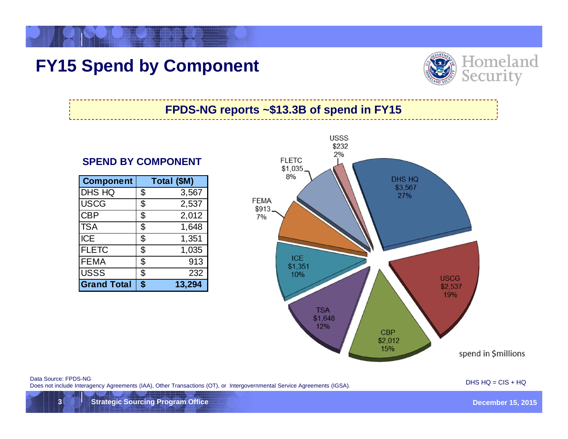## **FY15 Spend by Component**



#### **FPDS-NG reports ~\$13.3B of spend in FY15**

#### **SPEND BY COMPONENT**

| <b>Component</b>   | Total (\$M)  |
|--------------------|--------------|
| <b>DHS HQ</b>      | \$<br>3,567  |
| <b>USCG</b>        | \$<br>2,537  |
| <b>CBP</b>         | \$<br>2,012  |
| <b>TSA</b>         | \$<br>1,648  |
| <b>ICE</b>         | \$<br>1,351  |
| <b>FLETC</b>       | \$<br>1,035  |
| <b>FEMA</b>        | \$<br>913    |
| <b>USSS</b>        | \$<br>232    |
| <b>Grand Total</b> | \$<br>13,294 |



Data Source: FPDS-NG<br>Does not include Interagency Agreements (IAA), Other Transactions (OT), or Intergovernmental Service Agreements (IGSA).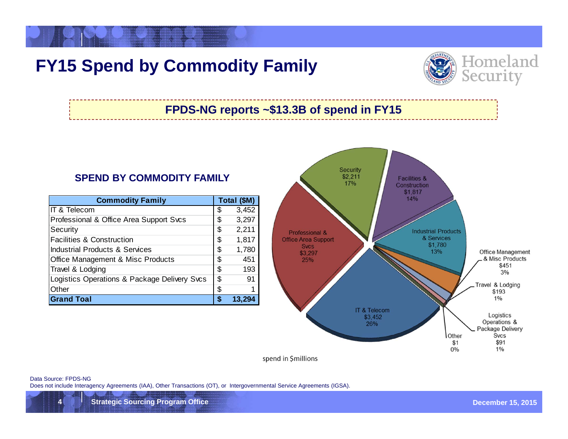## **FY15 Spend by Commodity Family**



### **FPDS-NG reports ~\$13.3B of spend in FY15**

#### **SPEND BY COMMODITY FAMILY**

| <b>Commodity Family</b>                      | Total (\$M) |       |  |
|----------------------------------------------|-------------|-------|--|
| IT & Telecom                                 | S           | 3,452 |  |
| Professional & Office Area Support Svcs      | \$          | 3,297 |  |
| Security                                     | \$          | 2,211 |  |
| <b>Facilities &amp; Construction</b>         | \$          | 1,817 |  |
| <b>Industrial Products &amp; Services</b>    | \$          | 1,780 |  |
| Office Management & Misc Products            | \$          | 451   |  |
| Travel & Lodging                             | \$          | 193   |  |
| Logistics Operations & Package Delivery Svcs | \$          | 91    |  |
| Other                                        | \$          |       |  |
| <b>Grand Toal</b>                            | œ           |       |  |



spend in \$millions

Data Source: FPDS-NG

Does not include Interagency Agreements (IAA), Other Transactions (OT), or Intergovernmental Service Agreements (IGSA).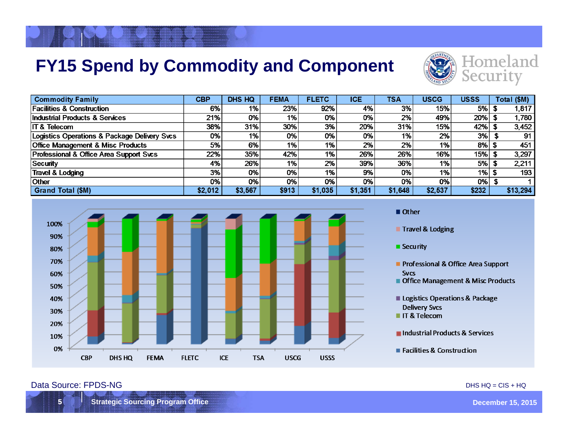## **FY15 Spend by Commodity and Component**



| <b>Commodity Family</b>                      | <b>CBP</b> | <b>DHS HQ</b> | <b>FEMA</b> | <b>FLETC</b> | <b>ICE</b> | TSA     | <b>USCG</b> | <b>USSS</b> | Total (\$M) |
|----------------------------------------------|------------|---------------|-------------|--------------|------------|---------|-------------|-------------|-------------|
| <b>Facilities &amp; Construction</b>         | 6%         | $1\%$         | 23%         | 92%          | 4%         | 3%      | 15%         | 5% l        | 1,817       |
| Industrial Products & Services               | 21%        | 0%            | 1%          | 0%           | 0%l        | 2%      | 49%         | 20%         | 1,780       |
| <b>IT &amp; Telecom</b>                      | 38%        | 31%           | 30%         | 3%           | 20%        | 31%     | 15%         | 42%         | 3,452       |
| Logistics Operations & Package Delivery Svcs | 0%         | 1%            | 0%          | 0%           | 0%l        | 1%      | 2%          | 3%          | 91          |
| <b>Office Management &amp; Misc Products</b> | 5%         | 6%            | 1%          | $1\%$        | 2%         | 2%      | 1%          | 8%          | 451         |
| Professional & Office Area Support Svcs      | 22%        | 35%           | 42%         | 1%           | 26%        | 26%     | 16%         | 15%         | 3,297       |
| Security                                     | 4%         | 26%           | 1%          | 2%           | 39%        | 36%     | 1%          | 5%          | 2,211       |
| Travel & Lodging                             | 3%         | 0%            | 0%          | $1\%$ .      | 9%         | 0%      | 1%          | $1%$ \$     | 193         |
| <b>Other</b>                                 | 0%         | 0%            | 0%          | 0%           | 0%         | 0%      | 0%          | 0%          |             |
| <b>Grand Total (\$M)</b>                     | \$2,012    | \$3,567       | \$913       | \$1,035      | \$1,351    | \$1,648 | \$2,537     | \$232       | \$13,294    |



Other

Travel & Lodging

**Security** 

Professional & Office Area Support **Svcs** 

Office Management & Misc Products

Logistics Operations & Package **Delivery Svcs** 

IT & Telecom

Industrial Products & Services

■ Facilities & Construction

#### Data Source: FPDS-NG DHS HQ = CIS + HQ

**15 Strategic Sourcing Program Office December 15, 2015**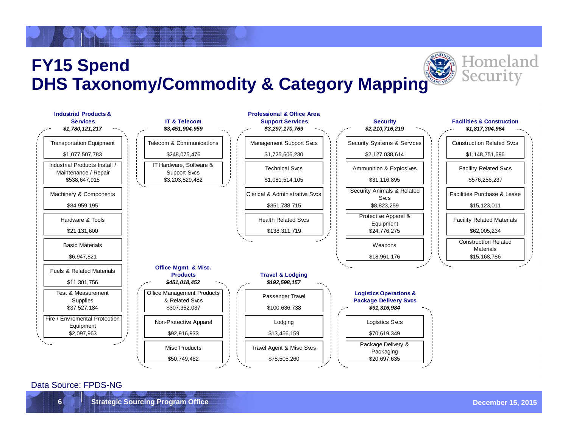## **FY15 Spend DHS Taxonomy/Commodity & Category Mapping**



#### Data Source: FPDS-NG

Homeland

Secur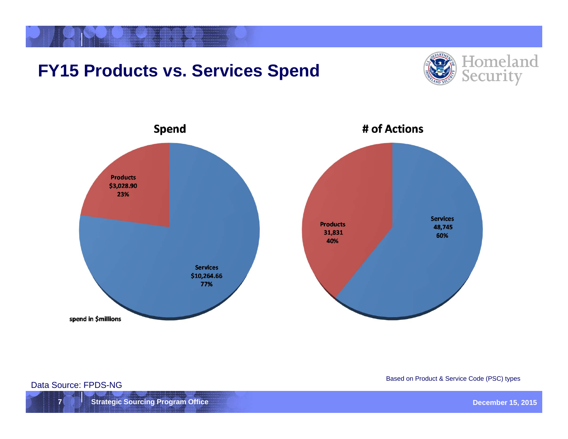## **FY15 Products vs. Services Spend**





**7 Strategic Sourcing Program Office December 15, 2015 Contract Contract Contract Contract Contract Contract Contract Contract Contract Contract Contract Contract Contract Contract Contract Contract Contract Contract Con** 

Based on Product & Service Code (PSC) types Data Source: FPDS-NG